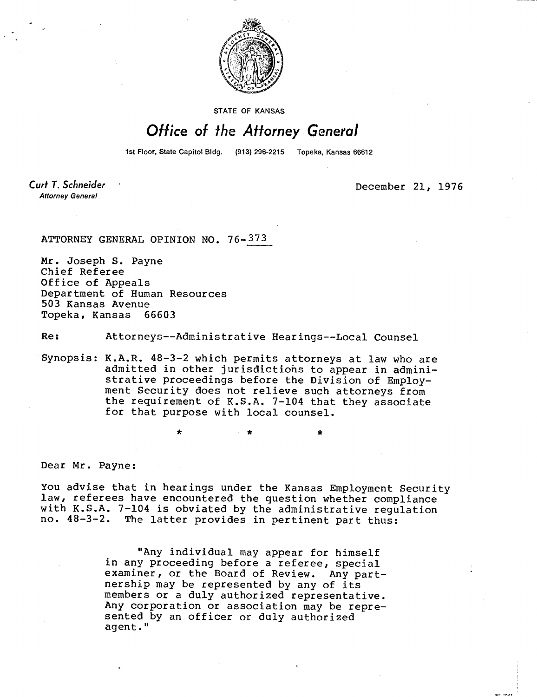

STATE OF KANSAS

## Office of the Attorney General

1st Floor, State Capitol Bldg. (913) 296-2215 Topeka, Kansas 66612

Curt T. Schneider **Attorney General** 

December 21, 1976

ATTORNEY GENERAL OPINION NO. 76- 373

Mr. Joseph S. Payne Chief Referee Office of Appeals Department of Human Resources 503 Kansas Avenue Topeka, Kansas 66603

Re: Attorneys--Administrative Hearings--Local Counsel

Synopsis: K.A.R. 48-3-2 which permits attorneys at law who are admitted in other jurisdictions to appear in administrative proceedings before the Division of Employment Security does not relieve such attorneys from the requirement of K.S.A. 7-104 that they associate for that purpose with local counsel.

Dear Mr. Payne:

You advise that in hearings under the Kansas Employment Security law, referees have encountered the question whether compliance with K.S.A. 7-104 is obviated by the administrative regulation<br>no.  $48-3-2$ . The latter provides in pertinent part thus: The latter provides in pertinent part thus:

\* \*

"Any individual may appear for himself in any proceeding before a referee, special examiner, or the Board of Review. Any partnership may be represented by any of its members or a duly authorized representative. Any corporation or association may be represented by an officer or duly authorized agent."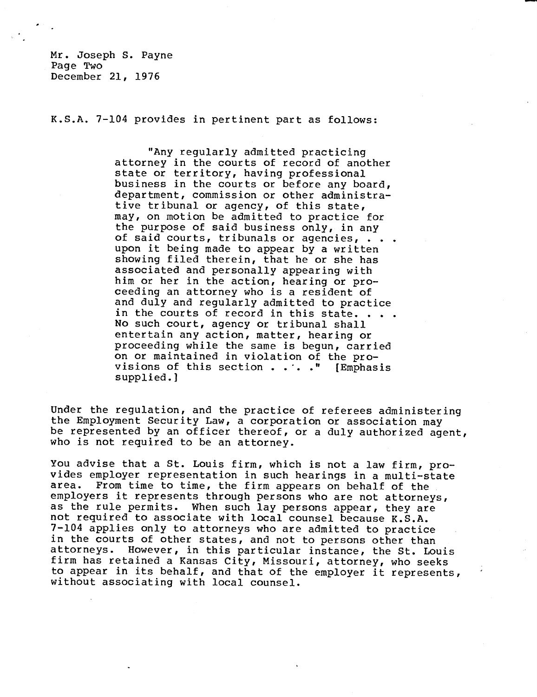Mr. Joseph S. Payne Page Two December 21, 1976

K.S.A. 7-104 provides in pertinent part as follows:

"Any regularly admitted practicing attorney in the courts of record of another state or territory, having professional business in the courts or before any board, department, commission or other administrative tribunal or agency, of this state, may, on motion be admitted to practice for the purpose of said business only, in any of said courts, tribunals or agencies, . . . upon it being made to appear by a written showing filed therein, that he or she has associated and personally appearing with him or her in the action, hearing or proceeding an attorney who is a resident of and duly and regularly admitted to practice in the courts of record in this state.. No such court, agency or tribunal shall entertain any action, matter, hearing or proceeding while the same is begun, carried on or maintained in violation of the provisions of this section . . . . " [Emphasis supplied.]

Under the regulation, and the practice of referees administering the Employment Security Law, a corporation or association may be represented by an officer thereof, or a duly authorized agent, who is not required to be an attorney.

You advise that a St. Louis firm, which is not a law firm, provides employer representation in such hearings in a multi-state area. From time to time, the firm appears on behalf of the employers it represents through persons who are not attorneys, as the rule permits. When such lay persons appear, they are not required to associate with local counsel because K.S.A. 7-104 applies only to attorneys who are admitted to practice in the courts of other states, and not to persons other than<br>attorneys. However, in this particular instance, the St. Low However, in this particular instance, the St. Louis firm has retained a Kansas City, Missouri, attorney, who seeks to appear in its behalf, and that of the employer it represents, without associating with local counsel.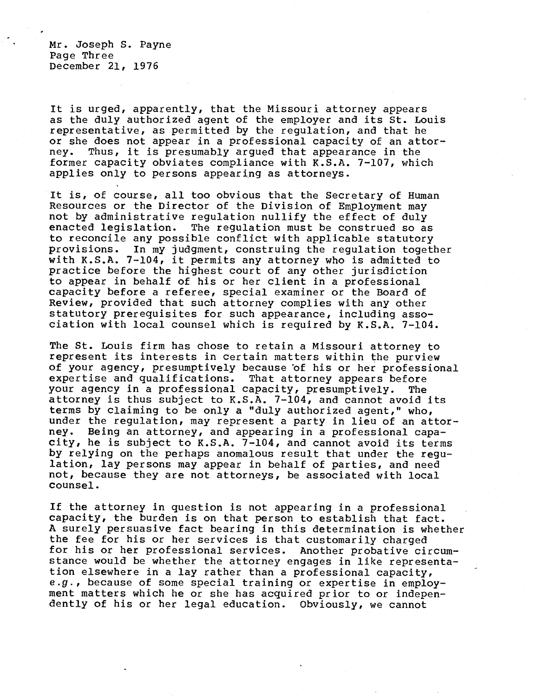Mr. Joseph S. Payne Page Three December 21, 1976

It is urged, apparently, that the Missouri attorney appears as the duly authorized agent of the employer and its St. Louis representative, as permitted by the regulation, and that he or she does not appear in a professional capacity of an attorney. Thus, it is presumably argued that appearance in the former capacity obviates compliance with K.S.A. 7-107, which applies only to persons appearing as attorneys.

It is, of course, all too obvious that the Secretary of Human Resources or the Director of the Division of Employment may not by administrative regulation nullify the effect of duly enacted legislation. The regulation must be construed so as to reconcile any possible conflict with applicable statutory provisions. In my judgment, construing the regulation together with K.S.A. 7-104, it permits any attorney who is admitted to practice before the highest court of any other jurisdiction to appear in behalf of his or her client in a professional capacity before a referee, special examiner or the Board of Review, provided that such attorney complies with any other statutory prerequisites for such appearance, including association with local counsel which is required by K.S.A. 7-104.

The St. Louis firm has chose to retain a Missouri attorney to represent its interests in certain matters within the purview of your agency, presumptively because 'of his or her professional expertise and qualifications. That attorney appears before your agency in a professional capacity, presumptively. The attorney is thus subject to K.S.A. 7-104, and cannot avoid its terms by claiming to be only a "duly authorized agent," who, under the regulation, may represent a party in lieu of an attor-<br>ney. Being an attorney, and appearing in a professional capa-Being an attorney, and appearing in a professional capacity, he is subject to K.S.A. 7-104, and cannot avoid its terms by relying on the perhaps anomalous result that under the regulation, lay persons may appear in behalf of parties, and need not, because they are not attorneys, be associated with local counsel.

If the attorney in question is not appearing in a professional capacity, the burden is on that person to establish that fact. A surely persuasive fact bearing in this determination is whether the fee for his or her services is that customarily charged for his or her professional services. Another probative circumstance would be whether the attorney engages in like representation elsewhere in a lay rather than a professional capacity, e.g., because of some special training or expertise in employment matters which he or she has acquired prior to or independently of his or her legal education. Obviously, we cannot